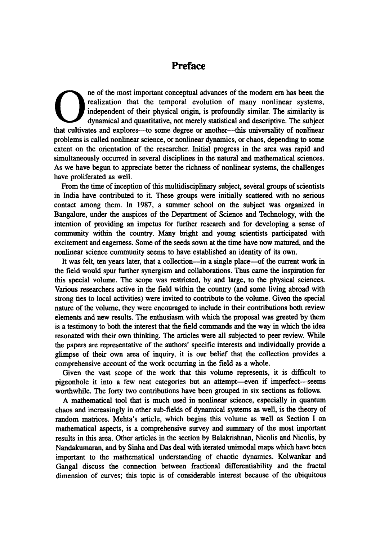## **Preface**

The of the most important conceptual advances of the modern era has been the realization that the temporal evolution of many nonlinear systems, independent of their physical origin, is profoundly similar. The similarity is realization that the temporal evolution of many nonlinear systems, independent of their physical origin, is profoundly similar. The similarity is dynamical and quantitative, not merely statistical and descriptive. The subject that cultivates and explores—to some degree or another—this universality of nonlinear problems is called nonlinear science, or nonlinear dynamics, or chaos, depending to some extent on the orientation of the rescarcber. Initial progress in the area was rapid and simultaneously occurred in several disciplines in the natural and mathematical sciences. As wc have begun to appreciate better the richness of nonlinear systems, the challenges have proliferated as well.

From the time of inception of this multidisciplinary subject, several groups of scientists in India have contributed to it. These groups were initially scattered with no serious contact among them. In 1987, a summer school on the subject was organized in Bangalorc, under the auspices of the Department of Science and Technology, with the intention of providing an impetus for further research and for developing a sense of community within the country. Many bright and young scientists participated with excitement and eagerness. Some of the seeds sown at the time have now matured, and the nonlinear science community seems to have established an identity of its own.

It was felt, ten years later, that a collection—in a single place—of the current work in the field would spur further synergism and collaborations. Thus came the inspiration for this special volume. The scope was restricted, by and large, to the physical sciences. Various researchers active in the field within the country (and some living abroad with strong ties to local activities) were invited to contribute to the volume. Given the special nature of the volume, they were encouraged to include in their contributions both review elements and new results. The enthusiasm with which the proposal was greeted by them is a testimony to both the interest that the field commands and the way in which the idea resonated with their own thinking. The articles were all subjected to peer review. While the papers are representative of the authors' specific interests and individually provide a glimpse of their own area of inquiry, it is our belief that the collection provides a comprehensive account of the work occurring in the field as a whole.

Given the vast scope of the work that this volume represents, it is difficult to pigeonhole it into a few neat categories but an attempt---even if imperfect---seems worthwhile. The forty two contributions have been grouped in six sections as follows.

A mathematical tool that is much used in nonlinear science, especially in quantum chaos and increasingly in other sub-fields of dynamical systems as well, is the theory of random matrices. Mehta's article, which begins this volume as well as Section I on mathematical aspects, is a comprehensive survey and summary of the most important results in this area. Other articles in the section by Balakrishnan, Nicolis and Nicolis, by Nandakumaran, and by Sinha and Das deal with iterated unimodal maps which have been important to the mathematical understanding of chaotic dynamics. Kolwankar and Gangal discuss the connection between fractional differentiability and the fractal dimension of curves; this topic is of considerable interest because of the ubiquitous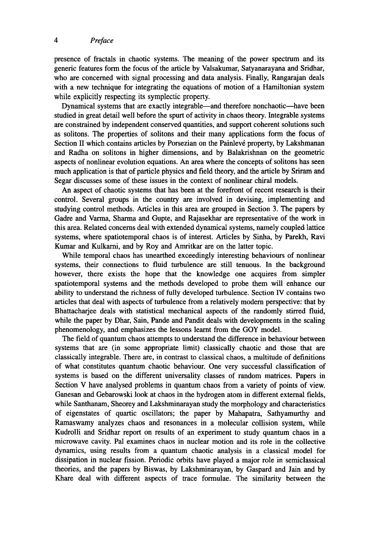## *4 Preface*

presence of fractals in chaotic systems. The meaning of the power spectrum and its generic features form the focus of the article by Valsakumar, Satyanarayana and Sridhar, who are concerned with signal processing and data analysis. Finally, Rangarajan deals with a new technique for integrating the equations of motion of a Hamiltonian system while explicitly respecting its symplectic property.

Dynamical systems that are exactly integrable—and therefore nonchaotic—have been studied in great detail well before the spurt of activity in chaos theory. Integrable systems are constrained by independent conserved quantities, and support coherent solutions such as solitons. The properties of solitons and their many applications form the focus of Section II which contains articles by Porsezian on the Painlevé property, by Lakshmanan and Radha on solitons in higher dimensions, and by Balakrishnan on the geometric aspects of nonlinear evolution equations. An area where the concepts of solitons has seen much application is that of particle physics and field theory, and the article by Sriram and Segar discusses some of these issues in the context of nonlinear chiral models.

An aspect of chaotic systems that has been at the forefront of recent research is their control. Several groups in the country are involved in devising, implementing and studying control methods. Articles in this area are grouped in Section 3. The papers by Gadre and Varma, Sharma and Gupte, and Rajasekhar are representative of the work in this area. Related concerns deal with extended dynamical systems, namely coupled lattice systems, where spatiotemporal chaos is of interest. Articles by Sinha, by Parekh, Ravi Kumar and Kulkami, and by Roy and Amritkar are on the latter topic.

While temporal chaos has unearthed exceedingly interesting behaviours of nonlinear systems, their connections to fluid turbulence are still tenuous. In the background however, there exists the hope that the knowledge one acquires from simpler spatiotemporal systems and the methods developed to probe them will enhance our ability to understand the richness of fully developed turbulence. Section IV contains two articles that deal with aspects of turbulence from a relatively modern perspective: that by Bhattacharjee deals with statistical mechanical aspects of the randomly stirred fluid, while the paper by Dhar, Sain, Pande and Pandit deals with developments in the scaling phenomenology, and emphasizes the lessons learnt from the GOY model.

The field of quantum chaos attempts to understand the difference in behaviour between systems that are (in some appropriate limit) classically chaotic and those that are classically integrable. There are, in contrast to classical chaos, a multitude of definitions of what constitutes quantum chaotic behaviour. One very successful classification of systems is based on the different universality classes of random matrices. Papers in Section V have analysed problems in quantum chaos from a variety of points of view. Ganesan and Gebarowski look at chaos in the hydrogen atom in different external fields, while Santhanam, Sheorey and Lakshminarayan study the morphology and characteristics of eigenstates of quartic oscillators; the paper by Mahapatra, Sathyamurthy and Ramaswamy analyzes chaos and resonances in a molecular collision system, while Kudrolli and Sridhar report on results of an experiment to study quantum chaos in a microwave cavity. Pal examines chaos in nuclear motion and its role in the collective dynamics, using results from a quantum chaotic analysis in a classical model for dissipation in nuclear fission. Periodic orbits have played a major role in semiclassical theories, and the papers by Biswas, by Lakshminarayan, by Gaspard and Jain and by Khare deal with different aspects of trace formulae. The similarity between the